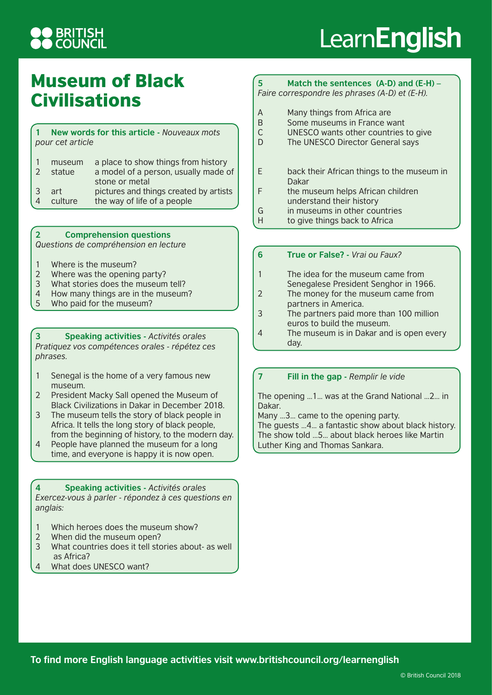## **D BRITISH<br>D COUNCIL**

# Learn**English**

### Museum of Black **Civilisations**

#### **1 New words for this article -** *Nouveaux mots pour cet article*

|                | museum  | a place to show things from history    |
|----------------|---------|----------------------------------------|
| $\mathcal{L}$  | statue  | a model of a person, usually made of   |
|                |         | stone or metal                         |
| $\mathcal{B}$  | art     | pictures and things created by artists |
| $\overline{4}$ | culture | the way of life of a people            |

**2 Comprehension questions**

*Questions de compréhension en lecture*

- 1 Where is the museum?
- 2 Where was the opening party?
- 3 What stories does the museum tell?
- 4 How many things are in the museum?<br>5 Who paid for the museum?
- Who paid for the museum?

**3 Speaking activities -** *Activités orales Pratiquez vos compétences orales - répétez ces phrases.*

- 1 Senegal is the home of a very famous new museum.
- 2 President Macky Sall opened the Museum of Black Civilizations in Dakar in December 2018.
- 3 The museum tells the story of black people in Africa. It tells the long story of black people, from the beginning of history, to the modern day.
- 4 People have planned the museum for a long time, and everyone is happy it is now open.

**4 Speaking activities -** *Activités orales Exercez-vous à parler - répondez à ces questions en anglais:*

- 1 Which heroes does the museum show?
- 2 When did the museum open?
- 3 What countries does it tell stories about- as well as Africa?
- 4 What does UNESCO want?

#### **5 Match the sentences (A-D) and (E-H) –** *Faire correspondre les phrases (A-D) et (E-H).*

- A Many things from Africa are<br>B Some museums in France w
- Some museums in France want
- C UNESCO wants other countries to give
- D The UNESCO Director General says
- E back their African things to the museum in Dakar
- F the museum helps African children understand their history
- G in museums in other countries
- H to give things back to Africa
- **6 True or False?** *Vrai ou Faux?*
- 1 The idea for the museum came from Senegalese President Senghor in 1966.
- 2 The money for the museum came from partners in America.
- 3 The partners paid more than 100 million euros to build the museum.
- 4 The museum is in Dakar and is open every day.

### **7 Fill in the gap -** *Remplir le vide*

The opening …1… was at the Grand National …2… in Dakar.

Many …3… came to the opening party.

The guests …4… a fantastic show about black history. The show told …5… about black heroes like Martin Luther King and Thomas Sankara.